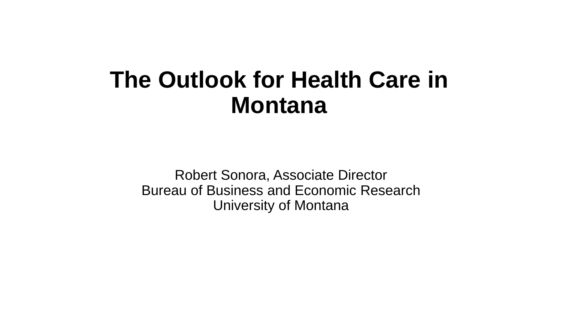## **The Outlook for Health Care in Montana**

Robert Sonora, Associate Director Bureau of Business and Economic Research University of Montana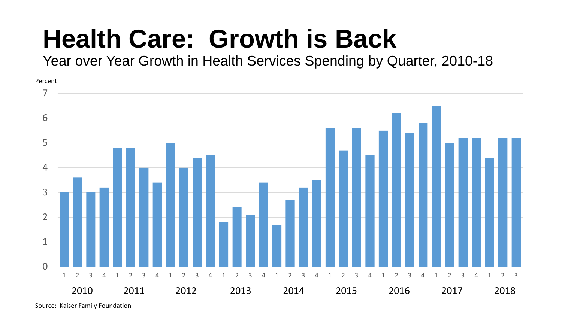# **Health Care: Growth is Back**

Year over Year Growth in Health Services Spending by Quarter, 2010-18

 $\Omega$  2 3 4 1 2 3 4 1 2 3 4 1 2 3 4 1 2 3 4 1 2 3 4 1 2 3 4 1 2 3 4 1 2 3 2011 2012 2013 2014 2015 2016 2017 2018 Percent

Source: Kaiser Family Foundation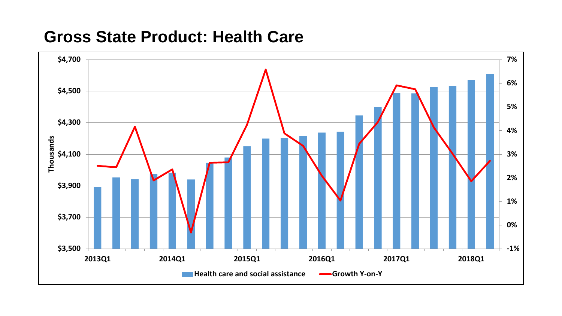### **Gross State Product: Health Care**

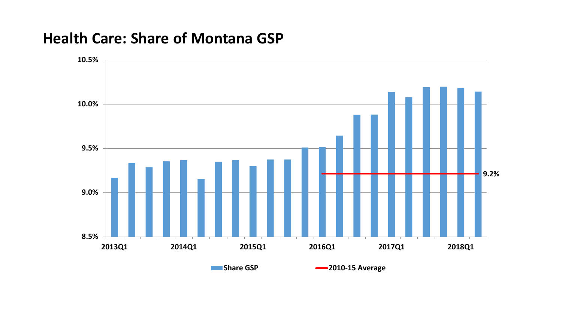### **Health Care: Share of Montana GSP**

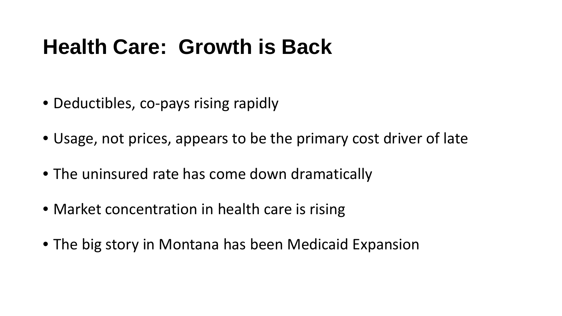## **Health Care: Growth is Back**

- Deductibles, co-pays rising rapidly
- Usage, not prices, appears to be the primary cost driver of late
- The uninsured rate has come down dramatically
- Market concentration in health care is rising
- The big story in Montana has been Medicaid Expansion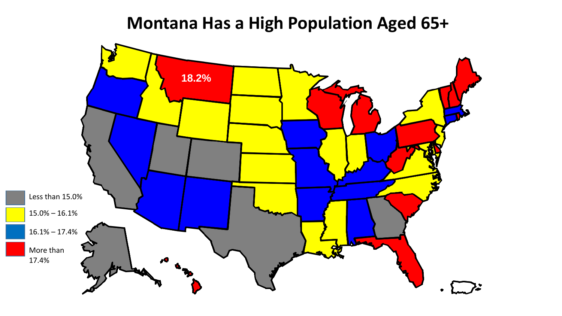### **Montana Has a High Population Aged 65+**

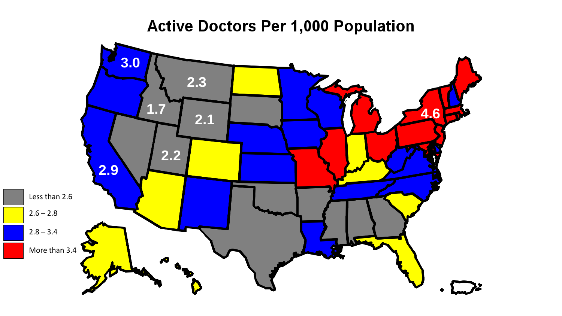### **Active Doctors Per 1,000 Population**

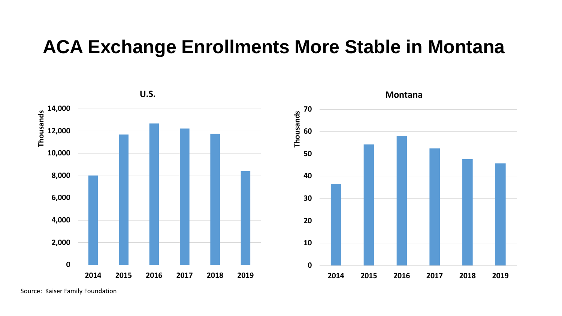### **ACA Exchange Enrollments More Stable in Montana**



Source: Kaiser Family Foundation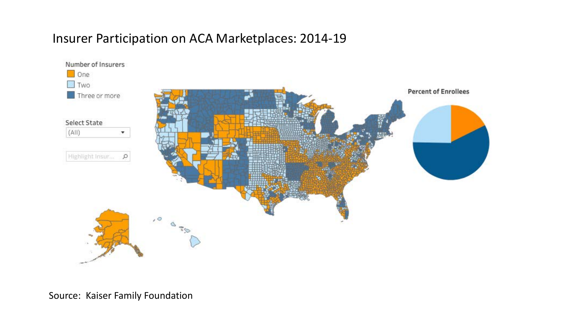#### Insurer Participation on ACA Marketplaces: 2014-19

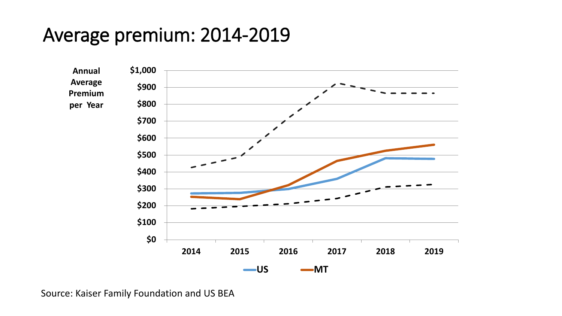### Average premium: 2014-2019



Source: Kaiser Family Foundation and US BEA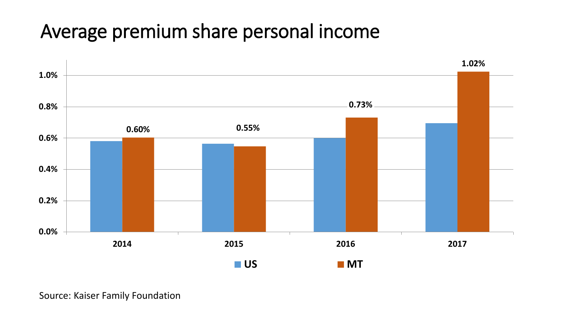### Average premium share personal income

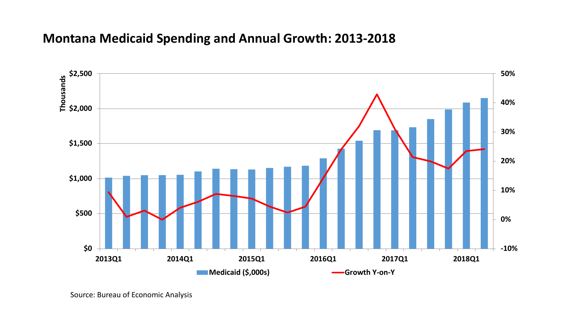#### **Montana Medicaid Spending and Annual Growth: 2013-2018**

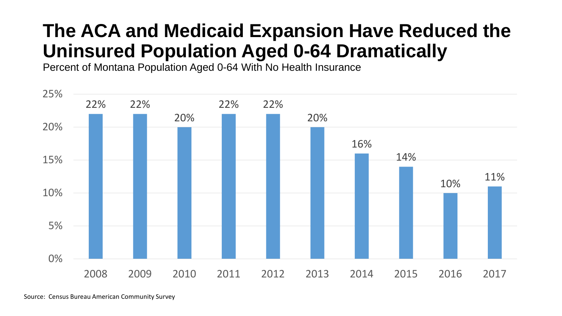### **The ACA and Medicaid Expansion Have Reduced the Uninsured Population Aged 0-64 Dramatically**

Percent of Montana Population Aged 0-64 With No Health Insurance

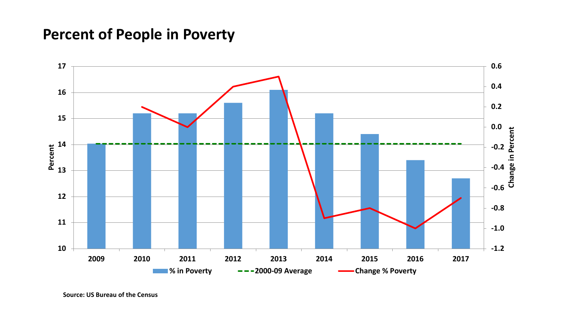#### **Percent of People in Poverty**

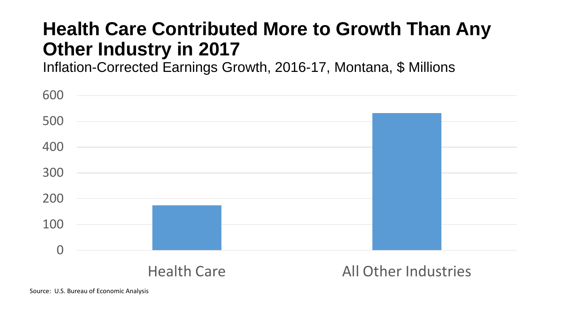### **Health Care Contributed More to Growth Than Any Other Industry in 2017**

Inflation-Corrected Earnings Growth, 2016-17, Montana, \$ Millions

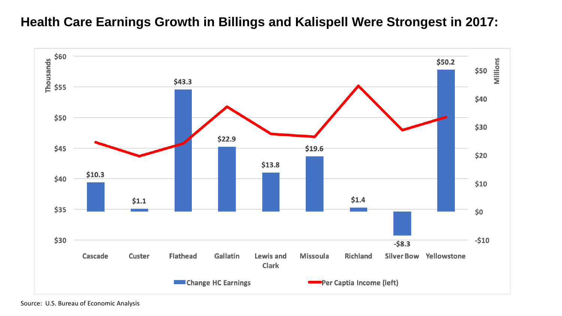#### **Health Care Earnings Growth in Billings and Kalispell Were Strongest in 2017:**